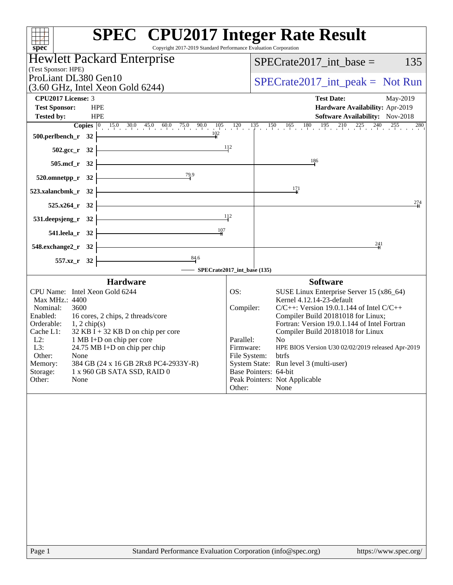|                                                                                                                                                                                                                                                                                                                                                                                                                                                | <b>SPEC<sup>®</sup> CPU2017 Integer Rate Result</b>                                                                                                                                                                                                                                                                                                                                                                                                                                                                          |                 |
|------------------------------------------------------------------------------------------------------------------------------------------------------------------------------------------------------------------------------------------------------------------------------------------------------------------------------------------------------------------------------------------------------------------------------------------------|------------------------------------------------------------------------------------------------------------------------------------------------------------------------------------------------------------------------------------------------------------------------------------------------------------------------------------------------------------------------------------------------------------------------------------------------------------------------------------------------------------------------------|-----------------|
| Copyright 2017-2019 Standard Performance Evaluation Corporation<br>spec <sup>®</sup>                                                                                                                                                                                                                                                                                                                                                           |                                                                                                                                                                                                                                                                                                                                                                                                                                                                                                                              |                 |
| Hewlett Packard Enterprise                                                                                                                                                                                                                                                                                                                                                                                                                     | $SPECrate2017\_int\_base =$                                                                                                                                                                                                                                                                                                                                                                                                                                                                                                  | 135             |
| (Test Sponsor: HPE)<br>ProLiant DL380 Gen10                                                                                                                                                                                                                                                                                                                                                                                                    |                                                                                                                                                                                                                                                                                                                                                                                                                                                                                                                              |                 |
| $(3.60$ GHz, Intel Xeon Gold $6244$ )                                                                                                                                                                                                                                                                                                                                                                                                          | $SPECrate2017\_int\_peak = Not Run$                                                                                                                                                                                                                                                                                                                                                                                                                                                                                          |                 |
| CPU2017 License: 3                                                                                                                                                                                                                                                                                                                                                                                                                             | <b>Test Date:</b>                                                                                                                                                                                                                                                                                                                                                                                                                                                                                                            | May-2019        |
| <b>Test Sponsor:</b><br><b>HPE</b><br><b>Tested by:</b><br><b>HPE</b>                                                                                                                                                                                                                                                                                                                                                                          | Hardware Availability: Apr-2019<br>Software Availability: Nov-2018                                                                                                                                                                                                                                                                                                                                                                                                                                                           |                 |
|                                                                                                                                                                                                                                                                                                                                                                                                                                                | <b>Copies</b> $\begin{bmatrix} 0 & 15.0 & 30.0 & 45.0 & 60.0 & 75.0 & 90.0 & 105 & 120 & 135 & 150 & 165 & 180 & 195 & 210 & 225 & 240 \end{bmatrix}$                                                                                                                                                                                                                                                                                                                                                                        | $255$ $280$     |
| 102<br>500.perlbench_r 32                                                                                                                                                                                                                                                                                                                                                                                                                      |                                                                                                                                                                                                                                                                                                                                                                                                                                                                                                                              |                 |
| 502.gcc_r 32                                                                                                                                                                                                                                                                                                                                                                                                                                   | 112                                                                                                                                                                                                                                                                                                                                                                                                                                                                                                                          |                 |
| 505.mcf_r 32                                                                                                                                                                                                                                                                                                                                                                                                                                   | 186                                                                                                                                                                                                                                                                                                                                                                                                                                                                                                                          |                 |
| 79.9<br>520.omnetpp_r 32                                                                                                                                                                                                                                                                                                                                                                                                                       |                                                                                                                                                                                                                                                                                                                                                                                                                                                                                                                              |                 |
| 523.xalancbmk_r 32                                                                                                                                                                                                                                                                                                                                                                                                                             | $\frac{171}{1}$                                                                                                                                                                                                                                                                                                                                                                                                                                                                                                              |                 |
| 525.x264_r 32                                                                                                                                                                                                                                                                                                                                                                                                                                  |                                                                                                                                                                                                                                                                                                                                                                                                                                                                                                                              | $\frac{274}{4}$ |
| 531.deepsjeng_r 32                                                                                                                                                                                                                                                                                                                                                                                                                             | 112                                                                                                                                                                                                                                                                                                                                                                                                                                                                                                                          |                 |
| 107<br>541.leela_r 32                                                                                                                                                                                                                                                                                                                                                                                                                          |                                                                                                                                                                                                                                                                                                                                                                                                                                                                                                                              |                 |
| 548.exchange2_r 32                                                                                                                                                                                                                                                                                                                                                                                                                             | $\frac{241}{5}$                                                                                                                                                                                                                                                                                                                                                                                                                                                                                                              |                 |
| $\frac{84.6}{ }$<br>557.xz_r 32                                                                                                                                                                                                                                                                                                                                                                                                                |                                                                                                                                                                                                                                                                                                                                                                                                                                                                                                                              |                 |
|                                                                                                                                                                                                                                                                                                                                                                                                                                                | - SPECrate2017_int_base (135)                                                                                                                                                                                                                                                                                                                                                                                                                                                                                                |                 |
| <b>Hardware</b><br>CPU Name: Intel Xeon Gold 6244<br>Max MHz.: 4400<br>3600<br>Nominal:<br>Enabled:<br>16 cores, 2 chips, 2 threads/core<br>Orderable:<br>$1, 2$ chip(s)<br>Cache L1:<br>$32$ KB I + 32 KB D on chip per core<br>$L2$ :<br>1 MB I+D on chip per core<br>L3:<br>24.75 MB I+D on chip per chip<br>Other:<br>None<br>Memory:<br>384 GB (24 x 16 GB 2Rx8 PC4-2933Y-R)<br>Storage:<br>1 x 960 GB SATA SSD, RAID 0<br>Other:<br>None | <b>Software</b><br>OS:<br>SUSE Linux Enterprise Server 15 (x86_64)<br>Kernel 4.12.14-23-default<br>Compiler:<br>$C/C++$ : Version 19.0.1.144 of Intel $C/C++$<br>Compiler Build 20181018 for Linux;<br>Fortran: Version 19.0.1.144 of Intel Fortran<br>Compiler Build 20181018 for Linux<br>Parallel:<br>No<br>Firmware:<br>HPE BIOS Version U30 02/02/2019 released Apr-2019<br>File System:<br>btrfs<br>System State: Run level 3 (multi-user)<br>Base Pointers: 64-bit<br>Peak Pointers: Not Applicable<br>None<br>Other: |                 |
|                                                                                                                                                                                                                                                                                                                                                                                                                                                |                                                                                                                                                                                                                                                                                                                                                                                                                                                                                                                              |                 |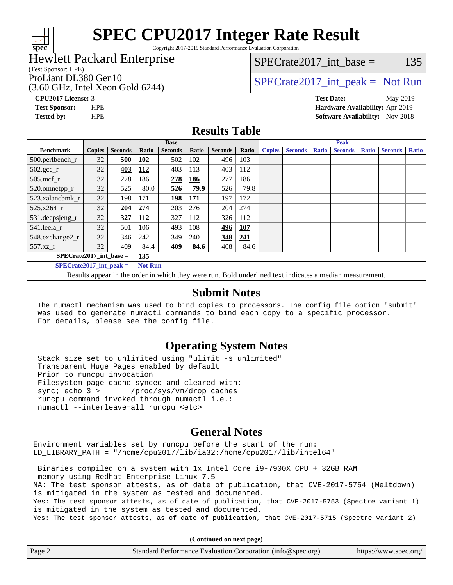

Copyright 2017-2019 Standard Performance Evaluation Corporation

## Hewlett Packard Enterprise

(Test Sponsor: HPE)

(3.60 GHz, Intel Xeon Gold 6244)

SPECrate  $2017$  int base = 135

## ProLiant DL380 Gen10  $SPECTR_{12}^{12}$  [SPECrate2017\\_int\\_peak =](http://www.spec.org/auto/cpu2017/Docs/result-fields.html#SPECrate2017intpeak) Not Run

**[CPU2017 License:](http://www.spec.org/auto/cpu2017/Docs/result-fields.html#CPU2017License)** 3 **[Test Date:](http://www.spec.org/auto/cpu2017/Docs/result-fields.html#TestDate)** May-2019 **[Test Sponsor:](http://www.spec.org/auto/cpu2017/Docs/result-fields.html#TestSponsor)** HPE **[Hardware Availability:](http://www.spec.org/auto/cpu2017/Docs/result-fields.html#HardwareAvailability)** Apr-2019 **[Tested by:](http://www.spec.org/auto/cpu2017/Docs/result-fields.html#Testedby)** HPE **HPE [Software Availability:](http://www.spec.org/auto/cpu2017/Docs/result-fields.html#SoftwareAvailability)** Nov-2018

#### **[Results Table](http://www.spec.org/auto/cpu2017/Docs/result-fields.html#ResultsTable)**

|                            | <b>Base</b> |                |                |                |             |                |            |               |                | <b>Peak</b>  |                |              |                |              |
|----------------------------|-------------|----------------|----------------|----------------|-------------|----------------|------------|---------------|----------------|--------------|----------------|--------------|----------------|--------------|
| <b>Benchmark</b>           | Copies      | <b>Seconds</b> | Ratio          | <b>Seconds</b> | Ratio       | <b>Seconds</b> | Ratio      | <b>Copies</b> | <b>Seconds</b> | <b>Ratio</b> | <b>Seconds</b> | <b>Ratio</b> | <b>Seconds</b> | <b>Ratio</b> |
| $500.$ perlbench_r         | 32          | 500            | <u>102</u>     | 502            | 102         | 496            | 103        |               |                |              |                |              |                |              |
| $502.\text{sec}\text{\_r}$ | 32          | 403            | 112            | 403            | 113         | 403            | 112        |               |                |              |                |              |                |              |
| $505$ .mcf r               | 32          | 278            | 186            | 278            | <u> 186</u> | 277            | 186        |               |                |              |                |              |                |              |
| 520.omnetpp_r              | 32          | 525            | 80.0           | 526            | 79.9        | 526            | 79.8       |               |                |              |                |              |                |              |
| 523.xalancbmk r            | 32          | 198            | 171            | <u> 198</u>    | 171         | 197            | 172        |               |                |              |                |              |                |              |
| $525.x264$ r               | 32          | 204            | 274            | 203            | 276         | 204            | 274        |               |                |              |                |              |                |              |
| 531.deepsjeng_r            | 32          | 327            | 112            | 327            | 112         | 326            | 112        |               |                |              |                |              |                |              |
| 541.leela_r                | 32          | 501            | 106            | 493            | 108         | 496            | 107        |               |                |              |                |              |                |              |
| 548.exchange2_r            | 32          | 346            | 242            | 349            | 240         | 348            | <u>241</u> |               |                |              |                |              |                |              |
| 557.xz r                   | 32          | 409            | 84.4           | 409            | 84.6        | 408            | 84.6       |               |                |              |                |              |                |              |
| $SPECrate2017$ int base =  |             |                | 135            |                |             |                |            |               |                |              |                |              |                |              |
| $SPECrate2017$ int peak =  |             |                | <b>Not Run</b> |                |             |                |            |               |                |              |                |              |                |              |

Results appear in the [order in which they were run.](http://www.spec.org/auto/cpu2017/Docs/result-fields.html#RunOrder) Bold underlined text [indicates a median measurement.](http://www.spec.org/auto/cpu2017/Docs/result-fields.html#Median)

#### **[Submit Notes](http://www.spec.org/auto/cpu2017/Docs/result-fields.html#SubmitNotes)**

 The numactl mechanism was used to bind copies to processors. The config file option 'submit' was used to generate numactl commands to bind each copy to a specific processor. For details, please see the config file.

### **[Operating System Notes](http://www.spec.org/auto/cpu2017/Docs/result-fields.html#OperatingSystemNotes)**

 Stack size set to unlimited using "ulimit -s unlimited" Transparent Huge Pages enabled by default Prior to runcpu invocation Filesystem page cache synced and cleared with: sync; echo 3 > /proc/sys/vm/drop\_caches runcpu command invoked through numactl i.e.: numactl --interleave=all runcpu <etc>

### **[General Notes](http://www.spec.org/auto/cpu2017/Docs/result-fields.html#GeneralNotes)**

Environment variables set by runcpu before the start of the run: LD\_LIBRARY\_PATH = "/home/cpu2017/lib/ia32:/home/cpu2017/lib/intel64"

 Binaries compiled on a system with 1x Intel Core i9-7900X CPU + 32GB RAM memory using Redhat Enterprise Linux 7.5 NA: The test sponsor attests, as of date of publication, that CVE-2017-5754 (Meltdown) is mitigated in the system as tested and documented. Yes: The test sponsor attests, as of date of publication, that CVE-2017-5753 (Spectre variant 1) is mitigated in the system as tested and documented. Yes: The test sponsor attests, as of date of publication, that CVE-2017-5715 (Spectre variant 2)

**(Continued on next page)**

| Page 2 | Standard Performance Evaluation Corporation (info@spec.org) | https://www.spec.org/ |
|--------|-------------------------------------------------------------|-----------------------|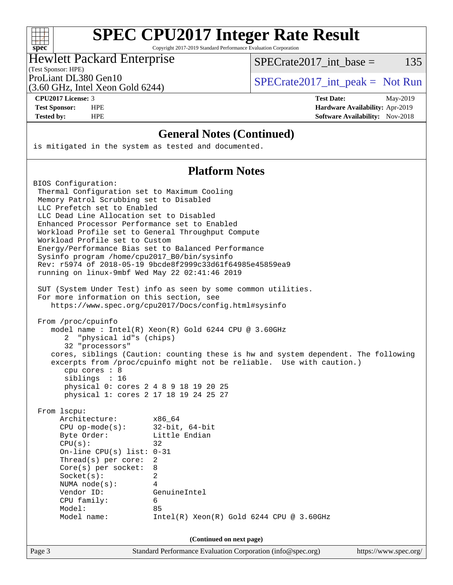| S | ١<br>U | ۱t | ۱. |  |
|---|--------|----|----|--|

Copyright 2017-2019 Standard Performance Evaluation Corporation

## Hewlett Packard Enterprise

SPECrate  $2017$  int base = 135

(Test Sponsor: HPE)

(3.60 GHz, Intel Xeon Gold 6244)

ProLiant DL380 Gen10  $SPECTA = 5244$   $S244$   $S244$   $S244$ 

**[CPU2017 License:](http://www.spec.org/auto/cpu2017/Docs/result-fields.html#CPU2017License)** 3 **[Test Date:](http://www.spec.org/auto/cpu2017/Docs/result-fields.html#TestDate)** May-2019 **[Test Sponsor:](http://www.spec.org/auto/cpu2017/Docs/result-fields.html#TestSponsor)** HPE **[Hardware Availability:](http://www.spec.org/auto/cpu2017/Docs/result-fields.html#HardwareAvailability)** Apr-2019 **[Tested by:](http://www.spec.org/auto/cpu2017/Docs/result-fields.html#Testedby)** HPE **HPE [Software Availability:](http://www.spec.org/auto/cpu2017/Docs/result-fields.html#SoftwareAvailability)** Nov-2018

#### **[General Notes \(Continued\)](http://www.spec.org/auto/cpu2017/Docs/result-fields.html#GeneralNotes)**

is mitigated in the system as tested and documented.

#### **[Platform Notes](http://www.spec.org/auto/cpu2017/Docs/result-fields.html#PlatformNotes)**

BIOS Configuration: Thermal Configuration set to Maximum Cooling Memory Patrol Scrubbing set to Disabled LLC Prefetch set to Enabled LLC Dead Line Allocation set to Disabled Enhanced Processor Performance set to Enabled Workload Profile set to General Throughput Compute Workload Profile set to Custom Energy/Performance Bias set to Balanced Performance Sysinfo program /home/cpu2017\_B0/bin/sysinfo Rev: r5974 of 2018-05-19 9bcde8f2999c33d61f64985e45859ea9 running on linux-9mbf Wed May 22 02:41:46 2019 SUT (System Under Test) info as seen by some common utilities. For more information on this section, see <https://www.spec.org/cpu2017/Docs/config.html#sysinfo> From /proc/cpuinfo model name : Intel(R) Xeon(R) Gold 6244 CPU @ 3.60GHz 2 "physical id"s (chips) 32 "processors" cores, siblings (Caution: counting these is hw and system dependent. The following excerpts from /proc/cpuinfo might not be reliable. Use with caution.) cpu cores : 8 siblings : 16 physical 0: cores 2 4 8 9 18 19 20 25 physical 1: cores 2 17 18 19 24 25 27 From lscpu: Architecture: x86\_64 CPU op-mode(s): 32-bit, 64-bit Byte Order: Little Endian  $CPU(s):$  32 On-line CPU(s) list: 0-31 Thread(s) per core: 2 Core(s) per socket: 8 Socket(s): 2 NUMA node(s): 4 Vendor ID: GenuineIntel CPU family: 6 Model: 85 Model name: Intel(R) Xeon(R) Gold 6244 CPU @ 3.60GHz **(Continued on next page)**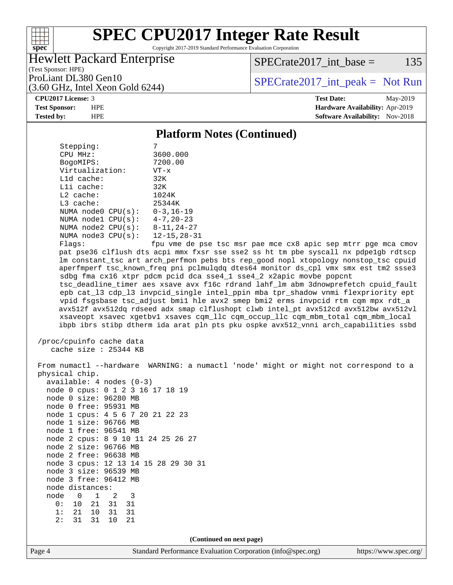

Copyright 2017-2019 Standard Performance Evaluation Corporation

#### Hewlett Packard Enterprise

 $SPECTate2017\_int\_base = 135$ 

(Test Sponsor: HPE) (3.60 GHz, Intel Xeon Gold 6244)

ProLiant DL380 Gen10  $SPECrate2017$ \_int\_peak = Not Run

**[CPU2017 License:](http://www.spec.org/auto/cpu2017/Docs/result-fields.html#CPU2017License)** 3 **[Test Date:](http://www.spec.org/auto/cpu2017/Docs/result-fields.html#TestDate)** May-2019 **[Test Sponsor:](http://www.spec.org/auto/cpu2017/Docs/result-fields.html#TestSponsor)** HPE **[Hardware Availability:](http://www.spec.org/auto/cpu2017/Docs/result-fields.html#HardwareAvailability)** Apr-2019 **[Tested by:](http://www.spec.org/auto/cpu2017/Docs/result-fields.html#Testedby)** HPE **[Software Availability:](http://www.spec.org/auto/cpu2017/Docs/result-fields.html#SoftwareAvailability)** Nov-2018

#### **[Platform Notes \(Continued\)](http://www.spec.org/auto/cpu2017/Docs/result-fields.html#PlatformNotes)**

| Stepping:               |                    |
|-------------------------|--------------------|
| CPU MHz:                | 3600.000           |
| BogoMIPS:               | 7200.00            |
| Virtualization:         | $VT - x$           |
| $L1d$ cache:            | 32K                |
| $L1i$ cache:            | 32K                |
| $L2$ cache:             | 1024K              |
| $L3$ cache:             | 25344K             |
| NUMA $node0$ $CPU(s)$ : | $0 - 3, 16 - 19$   |
| NUMA $node1$ $CPU(s)$ : | $4 - 7$ , 20 – 23  |
| NUMA node2 CPU(s):      | $8 - 11, 24 - 27$  |
| NUMA $node3$ $CPU(s)$ : | $12 - 15, 28 - 31$ |
| Flags:                  | fnu vme de r       |

 Flags: fpu vme de pse tsc msr pae mce cx8 apic sep mtrr pge mca cmov pat pse36 clflush dts acpi mmx fxsr sse sse2 ss ht tm pbe syscall nx pdpe1gb rdtscp lm constant\_tsc art arch\_perfmon pebs bts rep\_good nopl xtopology nonstop\_tsc cpuid aperfmperf tsc\_known\_freq pni pclmulqdq dtes64 monitor ds\_cpl vmx smx est tm2 ssse3 sdbg fma cx16 xtpr pdcm pcid dca sse4\_1 sse4\_2 x2apic movbe popcnt tsc\_deadline\_timer aes xsave avx f16c rdrand lahf\_lm abm 3dnowprefetch cpuid\_fault epb cat\_l3 cdp\_l3 invpcid\_single intel\_ppin mba tpr\_shadow vnmi flexpriority ept vpid fsgsbase tsc\_adjust bmi1 hle avx2 smep bmi2 erms invpcid rtm cqm mpx rdt\_a avx512f avx512dq rdseed adx smap clflushopt clwb intel\_pt avx512cd avx512bw avx512vl xsaveopt xsavec xgetbv1 xsaves cqm\_llc cqm\_occup\_llc cqm\_mbm\_total cqm\_mbm\_local ibpb ibrs stibp dtherm ida arat pln pts pku ospke avx512\_vnni arch\_capabilities ssbd

```
 /proc/cpuinfo cache data
   cache size : 25344 KB
```
 From numactl --hardware WARNING: a numactl 'node' might or might not correspond to a physical chip. available: 4 nodes (0-3) node 0 cpus: 0 1 2 3 16 17 18 19

| ITOUTE 0 CPUS. 0 T $\leq$ 3 TO T $\leq$ TO T2 |  |                        |     |  |  |  |  |
|-----------------------------------------------|--|------------------------|-----|--|--|--|--|
| node 0 size: 96280 MB                         |  |                        |     |  |  |  |  |
| node 0 free: 95931 MB                         |  |                        |     |  |  |  |  |
| node 1 cpus: 4 5 6 7 20 21 22 23              |  |                        |     |  |  |  |  |
| node 1 size: 96766 MB                         |  |                        |     |  |  |  |  |
| node 1 free: 96541 MB                         |  |                        |     |  |  |  |  |
| node 2 cpus: 8 9 10 11 24 25 26 27            |  |                        |     |  |  |  |  |
| node 2 size: 96766 MB                         |  |                        |     |  |  |  |  |
| node 2 free: 96638 MB                         |  |                        |     |  |  |  |  |
| node 3 cpus: 12 13 14 15 28 29 30 31          |  |                        |     |  |  |  |  |
| node 3 size: 96539 MB                         |  |                        |     |  |  |  |  |
| node 3 free: 96412 MB                         |  |                        |     |  |  |  |  |
| node distances:                               |  |                        |     |  |  |  |  |
| node 0                                        |  | $\sim$ 1               | 2 3 |  |  |  |  |
|                                               |  | $0: 10$ $21$ $31$ $31$ |     |  |  |  |  |
|                                               |  | 1: 21 10 31 31         |     |  |  |  |  |
|                                               |  | 2: 31 31 10 21         |     |  |  |  |  |
|                                               |  |                        |     |  |  |  |  |

**(Continued on next page)**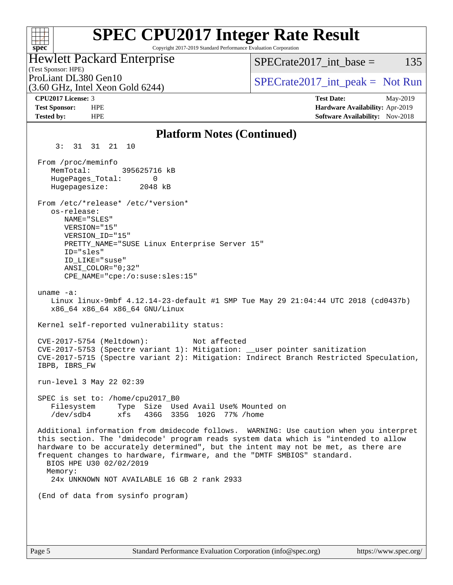#### **[SPEC CPU2017 Integer Rate Result](http://www.spec.org/auto/cpu2017/Docs/result-fields.html#SPECCPU2017IntegerRateResult)**  $+\ +$ Copyright 2017-2019 Standard Performance Evaluation Corporation **[spec](http://www.spec.org/)** Hewlett Packard Enterprise SPECrate  $2017$  int base = 135 (Test Sponsor: HPE) ProLiant DL380 Gen10  $SPECTA = 5244$   $S244$   $S244$   $S244$   $S244$ (3.60 GHz, Intel Xeon Gold 6244) **[CPU2017 License:](http://www.spec.org/auto/cpu2017/Docs/result-fields.html#CPU2017License)** 3 **[Test Date:](http://www.spec.org/auto/cpu2017/Docs/result-fields.html#TestDate)** May-2019 **[Test Sponsor:](http://www.spec.org/auto/cpu2017/Docs/result-fields.html#TestSponsor)** HPE **[Hardware Availability:](http://www.spec.org/auto/cpu2017/Docs/result-fields.html#HardwareAvailability)** Apr-2019 **[Tested by:](http://www.spec.org/auto/cpu2017/Docs/result-fields.html#Testedby)** HPE **[Software Availability:](http://www.spec.org/auto/cpu2017/Docs/result-fields.html#SoftwareAvailability)** Nov-2018 **[Platform Notes \(Continued\)](http://www.spec.org/auto/cpu2017/Docs/result-fields.html#PlatformNotes)** 3: 31 31 21 10 From /proc/meminfo MemTotal: 395625716 kB HugePages\_Total: 0 Hugepagesize: 2048 kB From /etc/\*release\* /etc/\*version\* os-release: NAME="SLES" VERSION="15" VERSION\_ID="15" PRETTY NAME="SUSE Linux Enterprise Server 15" ID="sles" ID\_LIKE="suse" ANSI\_COLOR="0;32" CPE\_NAME="cpe:/o:suse:sles:15" uname -a: Linux linux-9mbf 4.12.14-23-default #1 SMP Tue May 29 21:04:44 UTC 2018 (cd0437b) x86\_64 x86\_64 x86\_64 GNU/Linux Kernel self-reported vulnerability status: CVE-2017-5754 (Meltdown): Not affected CVE-2017-5753 (Spectre variant 1): Mitigation: \_\_user pointer sanitization CVE-2017-5715 (Spectre variant 2): Mitigation: Indirect Branch Restricted Speculation, IBPB, IBRS\_FW run-level 3 May 22 02:39 SPEC is set to: /home/cpu2017\_B0 Filesystem Type Size Used Avail Use% Mounted on /dev/sdb4 xfs 436G 335G 102G 77% /home Additional information from dmidecode follows. WARNING: Use caution when you interpret this section. The 'dmidecode' program reads system data which is "intended to allow hardware to be accurately determined", but the intent may not be met, as there are frequent changes to hardware, firmware, and the "DMTF SMBIOS" standard. BIOS HPE U30 02/02/2019 Memory: 24x UNKNOWN NOT AVAILABLE 16 GB 2 rank 2933 (End of data from sysinfo program)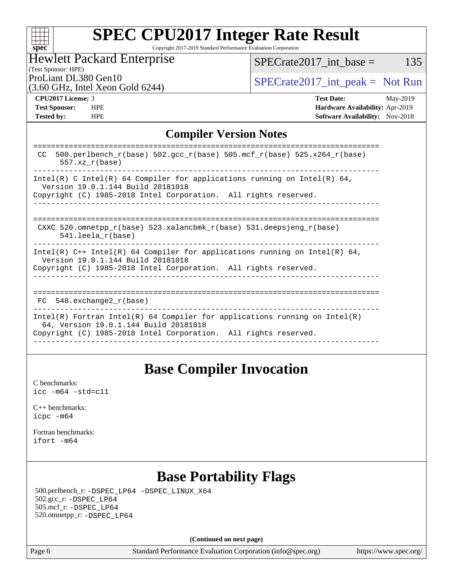|  | spe | U |  |
|--|-----|---|--|

Copyright 2017-2019 Standard Performance Evaluation Corporation

## Hewlett Packard Enterprise

 $SPECTate2017\_int\_base = 135$ 

### (Test Sponsor: HPE)

(3.60 GHz, Intel Xeon Gold 6244)

ProLiant DL380 Gen10<br>  $SPECTA = \{S = \text{C1} \}$  SPECrate 2017\_int\_peak = Not Run

**[Tested by:](http://www.spec.org/auto/cpu2017/Docs/result-fields.html#Testedby)** HPE **HPE [Software Availability:](http://www.spec.org/auto/cpu2017/Docs/result-fields.html#SoftwareAvailability)** Nov-2018

**[CPU2017 License:](http://www.spec.org/auto/cpu2017/Docs/result-fields.html#CPU2017License)** 3 **[Test Date:](http://www.spec.org/auto/cpu2017/Docs/result-fields.html#TestDate)** May-2019 **[Test Sponsor:](http://www.spec.org/auto/cpu2017/Docs/result-fields.html#TestSponsor)** HPE **[Hardware Availability:](http://www.spec.org/auto/cpu2017/Docs/result-fields.html#HardwareAvailability)** Apr-2019

### **[Compiler Version Notes](http://www.spec.org/auto/cpu2017/Docs/result-fields.html#CompilerVersionNotes)**

| 500.perlbench $r(base)$ 502.qcc $r(base)$ 505.mcf $r(base)$ 525.x264 $r(base)$<br>CC.<br>$557.xx$ $r(base)$                                                                            |
|----------------------------------------------------------------------------------------------------------------------------------------------------------------------------------------|
| Intel(R) C Intel(R) 64 Compiler for applications running on Intel(R) 64,<br>Version 19.0.1.144 Build 20181018<br>Copyright (C) 1985-2018 Intel Corporation. All rights reserved.       |
| CXXC 520.omnetpp $r(base)$ 523.xalancbmk $r(base)$ 531.deepsjeng $r(base)$<br>$541.$ leela r(base)                                                                                     |
| Intel(R) $C++$ Intel(R) 64 Compiler for applications running on Intel(R) 64,<br>Version 19.0.1.144 Build 20181018<br>Copyright (C) 1985-2018 Intel Corporation. All rights reserved.   |
| FC 548. exchange2 r(base)                                                                                                                                                              |
| Intel(R) Fortran Intel(R) 64 Compiler for applications running on Intel(R)<br>64, Version 19.0.1.144 Build 20181018<br>Copyright (C) 1985-2018 Intel Corporation. All rights reserved. |

# **[Base Compiler Invocation](http://www.spec.org/auto/cpu2017/Docs/result-fields.html#BaseCompilerInvocation)**

[C benchmarks](http://www.spec.org/auto/cpu2017/Docs/result-fields.html#Cbenchmarks): [icc -m64 -std=c11](http://www.spec.org/cpu2017/results/res2019q3/cpu2017-20190624-15581.flags.html#user_CCbase_intel_icc_64bit_c11_33ee0cdaae7deeeab2a9725423ba97205ce30f63b9926c2519791662299b76a0318f32ddfffdc46587804de3178b4f9328c46fa7c2b0cd779d7a61945c91cd35)

[C++ benchmarks:](http://www.spec.org/auto/cpu2017/Docs/result-fields.html#CXXbenchmarks) [icpc -m64](http://www.spec.org/cpu2017/results/res2019q3/cpu2017-20190624-15581.flags.html#user_CXXbase_intel_icpc_64bit_4ecb2543ae3f1412ef961e0650ca070fec7b7afdcd6ed48761b84423119d1bf6bdf5cad15b44d48e7256388bc77273b966e5eb805aefd121eb22e9299b2ec9d9)

[Fortran benchmarks](http://www.spec.org/auto/cpu2017/Docs/result-fields.html#Fortranbenchmarks): [ifort -m64](http://www.spec.org/cpu2017/results/res2019q3/cpu2017-20190624-15581.flags.html#user_FCbase_intel_ifort_64bit_24f2bb282fbaeffd6157abe4f878425411749daecae9a33200eee2bee2fe76f3b89351d69a8130dd5949958ce389cf37ff59a95e7a40d588e8d3a57e0c3fd751)

# **[Base Portability Flags](http://www.spec.org/auto/cpu2017/Docs/result-fields.html#BasePortabilityFlags)**

 500.perlbench\_r: [-DSPEC\\_LP64](http://www.spec.org/cpu2017/results/res2019q3/cpu2017-20190624-15581.flags.html#b500.perlbench_r_basePORTABILITY_DSPEC_LP64) [-DSPEC\\_LINUX\\_X64](http://www.spec.org/cpu2017/results/res2019q3/cpu2017-20190624-15581.flags.html#b500.perlbench_r_baseCPORTABILITY_DSPEC_LINUX_X64) 502.gcc\_r: [-DSPEC\\_LP64](http://www.spec.org/cpu2017/results/res2019q3/cpu2017-20190624-15581.flags.html#suite_basePORTABILITY502_gcc_r_DSPEC_LP64) 505.mcf\_r: [-DSPEC\\_LP64](http://www.spec.org/cpu2017/results/res2019q3/cpu2017-20190624-15581.flags.html#suite_basePORTABILITY505_mcf_r_DSPEC_LP64) 520.omnetpp\_r: [-DSPEC\\_LP64](http://www.spec.org/cpu2017/results/res2019q3/cpu2017-20190624-15581.flags.html#suite_basePORTABILITY520_omnetpp_r_DSPEC_LP64)

**(Continued on next page)**

Page 6 Standard Performance Evaluation Corporation [\(info@spec.org\)](mailto:info@spec.org) <https://www.spec.org/>